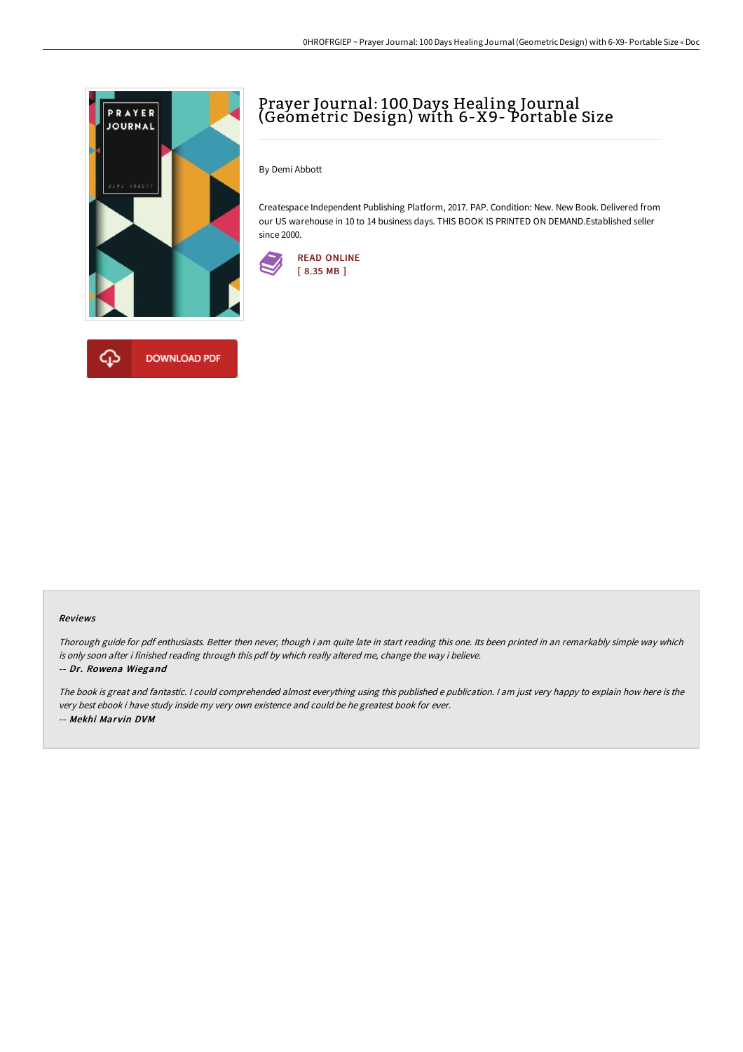

## Prayer Journal: 100 Days Healing Journal (Geometric Design) with 6-X9- Portable Size

By Demi Abbott

Createspace Independent Publishing Platform, 2017. PAP. Condition: New. New Book. Delivered from our US warehouse in 10 to 14 business days. THIS BOOK IS PRINTED ON DEMAND.Established seller since 2000.



## Reviews

Thorough guide for pdf enthusiasts. Better then never, though i am quite late in start reading this one. Its been printed in an remarkably simple way which is only soon after i finished reading through this pdf by which really altered me, change the way i believe.

## -- Dr. Rowena Wiegand

The book is great and fantastic. <sup>I</sup> could comprehended almost everything using this published <sup>e</sup> publication. <sup>I</sup> am just very happy to explain how here is the very best ebook i have study inside my very own existence and could be he greatest book for ever. -- Mekhi Marvin DVM